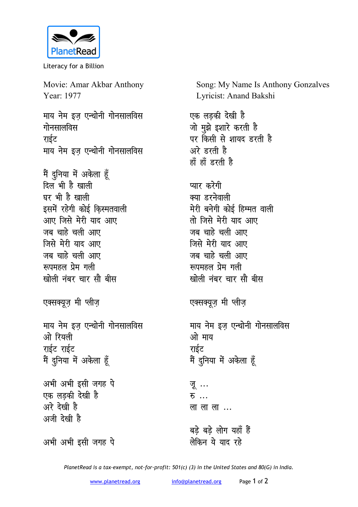

Literacy for a Billion

Movie: Amar Akbar Anthony Year: 1977

<u>माय नेम इज एन्थोनी गोनसालविस</u> **गोनसालविस** राईट माय नेम इज एन्थोनी गोनसालविस

मैं दुनिया में अकेला हूँ दिल भी है खाली घर भी है खाली इसमें रहेगी कोई किस्मतवाली आए जिसे मेरी याद आए जब चाहे चली आए <u>जिसे मेरी याद आए</u> जब चाहे चली आए *<u>स्वपमहल प्रेम गली</u>* खोली नंबर चार सौ बी**स** 

एक्सक्यूज़ मी *प्लीज़* 

माय नेम इज एन्थोनी गोनसालविस ओ रियली राईट राईट मैं <u>दु</u>निया में अकेला हूँ

अभी अभी इसी जगह पे एक लडकी देखी ह<del>ै</del> अरे देखी है अजी देखी है

Song: My Name Is Anthony Gonzalves Lyricist: Anand Bakshi

एक लडकी देखी ह<del>ै</del> जो मुझे इशारे करती है पर किसी से शायद **डरती** है <u>अरे डरती है</u> हाँ हाँ इरती है

प्यार करेगी **क्या डरनेवाली** मेरी बनेगी कोई हिम्मत वाली <u>तो जिसे मेरी याद आए</u> जब चाहे चली आए **जिसे मेरी याद आए** जब चाहे चली आए **स्व**पमहल प्रेम गली खोली नंबर चार सौ बी**स** 

एक्सक्यूज़ मी *प्लीज़* 

माय नेम इज एन्थोनी गोनसालविस ओ माय राईट मैं <u>दु</u>निया में अकेला हूँ

<u>जू</u> … **स** लालाला...

बडे बडे लोग यहाँ ह<del>ैं</del> लेकिन ये याद रहे

अभी अभी इसी जगह पे

*PlanetRead is a tax-exempt, not-for-profit: 501(c) (3) in the United States and 80(G) in India.*